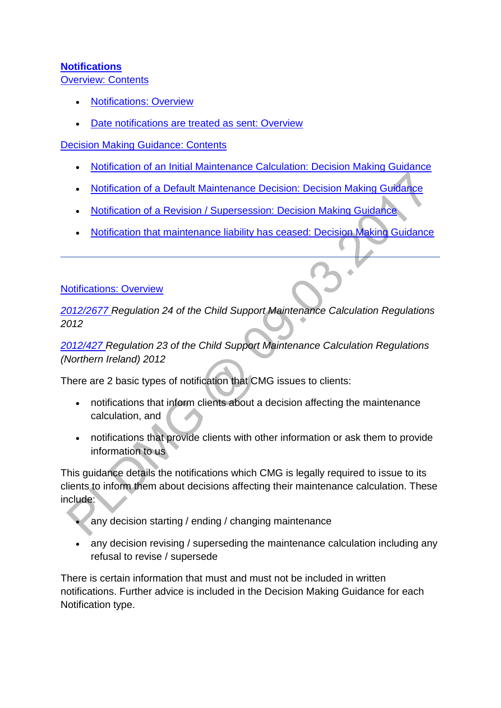### **[Notifications](http://np-cmg-sharepoint.link2.gpn.gov.uk/sites/policy-law-and-decision-making-guidance/Pages/Notifications/Notifications.aspx)**

[Overview: Contents](http://np-cmg-sharepoint.link2.gpn.gov.uk/sites/policy-law-and-decision-making-guidance/Pages/Notifications/Notifications.aspx)

- [Notifications: Overview](http://np-cmg-sharepoint.link2.gpn.gov.uk/sites/policy-law-and-decision-making-guidance/Pages/Notifications/Notifications.aspx#OverviewTypes)
- [Date notifications are treated as sent: Overview](http://np-cmg-sharepoint.link2.gpn.gov.uk/sites/policy-law-and-decision-making-guidance/Pages/Notifications/Notifications.aspx#WebPartTitleWPQ2)

[Decision Making Guidance: Contents](http://np-cmg-sharepoint.link2.gpn.gov.uk/sites/policy-law-and-decision-making-guidance/Pages/Notifications/Notifications.aspx)

- [Notification of an Initial Maintenance Calculation: Decision Making Guidance](http://np-cmg-sharepoint.link2.gpn.gov.uk/sites/policy-law-and-decision-making-guidance/Pages/Notifications/Notifications.aspx#DMGInitial)
- [Notification of a Default Maintenance Decision: Decision Making Guidance](http://np-cmg-sharepoint.link2.gpn.gov.uk/sites/policy-law-and-decision-making-guidance/Pages/Notifications/Notifications.aspx#DMGDMD)
- [Notification of a Revision / Supersession: Decision Making Guidance](http://np-cmg-sharepoint.link2.gpn.gov.uk/sites/policy-law-and-decision-making-guidance/Pages/Notifications/Notifications.aspx#DMGRevisionSpse)
- [Notification that maintenance liability has ceased: Decision Making Guidance](http://np-cmg-sharepoint.link2.gpn.gov.uk/sites/policy-law-and-decision-making-guidance/Pages/Notifications/Notifications.aspx#DMGLiabilityEnded)

#### [Notifications: Overview](http://np-cmg-sharepoint.link2.gpn.gov.uk/sites/policy-law-and-decision-making-guidance/Pages/Notifications/Notifications.aspx)

*[2012/2677 R](http://www.legislation.gov.uk/uksi/2012/2677)egulation 24 of the Child Support Maintenance Calculation Regulations 2012* 

*[2012/427 R](http://www.legislation.gov.uk/nisr/2012/427/contents/made)egulation 23 of the Child Support Maintenance Calculation Regulations (Northern Ireland) 2012*

There are 2 basic types of notification that CMG issues to clients:

- notifications that inform clients about a decision affecting the maintenance calculation, and
- notifications that provide clients with other information or ask them to provide information to us

This guidance details the notifications which CMG is legally required to issue to its clients to inform them about decisions affecting their maintenance calculation. These include:

- any decision starting / ending / changing maintenance
- any decision revising / superseding the maintenance calculation including any refusal to revise / supersede

There is certain information that must and must not be included in written notifications. Further advice is included in the Decision Making Guidance for each Notification type.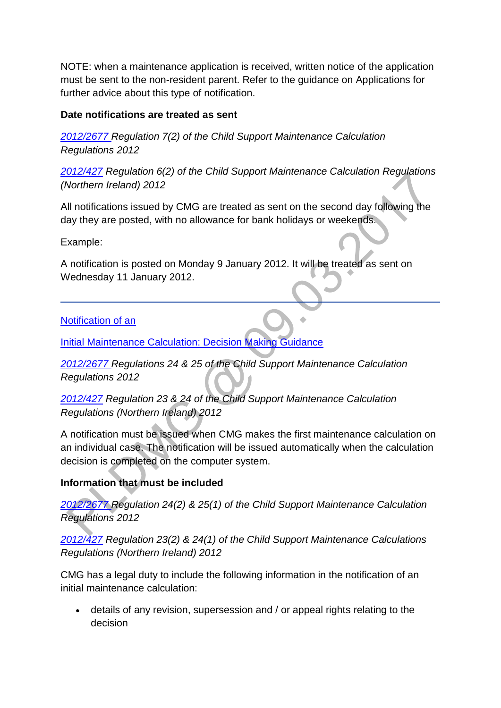NOTE: when a maintenance application is received, written notice of the application must be sent to the non-resident parent. Refer to the guidance on Applications for further advice about this type of notification.

#### **Date notifications are treated as sent**

*[2012/2677 R](http://www.legislation.gov.uk/uksi/2012/2677)egulation 7(2) of the Child Support Maintenance Calculation Regulations 2012*

*[2012/427](http://www.legislation.gov.uk/nisr/2012/427/contents/made) Regulation 6(2) of the Child Support Maintenance Calculation Regulations (Northern Ireland) 2012*

All notifications issued by CMG are treated as sent on the second day following the day they are posted, with no allowance for bank holidays or weekends.

Example:

A notification is posted on Monday 9 January 2012. It will be treated as sent on Wednesday 11 January 2012.

[Notification of an](http://np-cmg-sharepoint.link2.gpn.gov.uk/sites/policy-law-and-decision-making-guidance/Pages/Notifications/Notifications.aspx)

**[Initial Maintenance Calculation: Decision Making Guidance](http://np-cmg-sharepoint.link2.gpn.gov.uk/sites/policy-law-and-decision-making-guidance/Pages/Notifications/Notifications.aspx)** 

*[2012/2677 R](http://www.legislation.gov.uk/uksi/2012/2677)egulations 24 & 25 of the Child Support Maintenance Calculation Regulations 2012* 

*[2012/427](http://www.legislation.gov.uk/nisr/2012/427/contents/made) Regulation 23 & 24 of the Child Support Maintenance Calculation Regulations (Northern Ireland) 2012*

A notification must be issued when CMG makes the first maintenance calculation on an individual case. The notification will be issued automatically when the calculation decision is completed on the computer system.

# **Information that must be included**

*[2012/2677 R](http://www.legislation.gov.uk/uksi/2012/2677)egulation 24(2) & 25(1) of the Child Support Maintenance Calculation Regulations 2012*

*[2012/427](http://www.legislation.gov.uk/nisr/2012/427/contents/made) Regulation 23(2) & 24(1) of the Child Support Maintenance Calculations Regulations (Northern Ireland) 2012*

CMG has a legal duty to include the following information in the notification of an initial maintenance calculation:

 details of any revision, supersession and / or appeal rights relating to the decision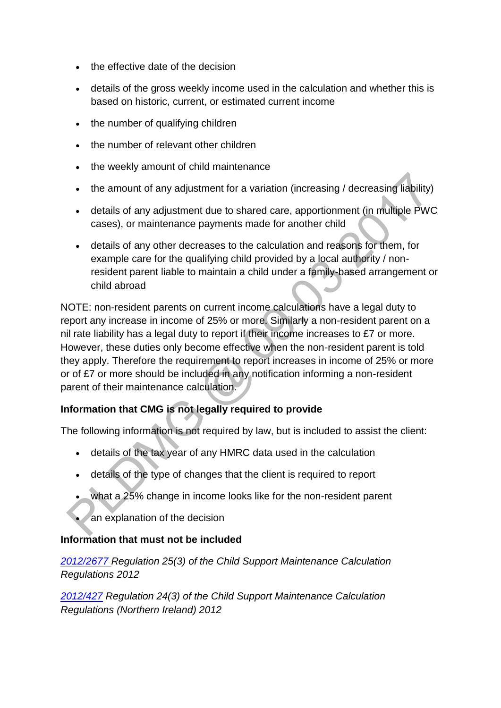- the effective date of the decision
- details of the gross weekly income used in the calculation and whether this is based on historic, current, or estimated current income
- the number of qualifying children
- the number of relevant other children
- the weekly amount of child maintenance
- the amount of any adjustment for a variation (increasing / decreasing liability)
- details of any adjustment due to shared care, apportionment (in multiple PWC cases), or maintenance payments made for another child
- details of any other decreases to the calculation and reasons for them, for example care for the qualifying child provided by a local authority / nonresident parent liable to maintain a child under a family-based arrangement or child abroad

NOTE: non-resident parents on current income calculations have a legal duty to report any increase in income of 25% or more. Similarly a non-resident parent on a nil rate liability has a legal duty to report if their income increases to £7 or more. However, these duties only become effective when the non-resident parent is told they apply. Therefore the requirement to report increases in income of 25% or more or of £7 or more should be included in any notification informing a non-resident parent of their maintenance calculation.

# **Information that CMG is not legally required to provide**

The following information is not required by law, but is included to assist the client:

- details of the tax year of any HMRC data used in the calculation
- details of the type of changes that the client is required to report
- what a 25% change in income looks like for the non-resident parent
- an explanation of the decision

#### **Information that must not be included**

*[2012/2677 R](http://www.legislation.gov.uk/uksi/2012/2677)egulation 25(3) of the Child Support Maintenance Calculation Regulations 2012*

*[2012/427](http://www.legislation.gov.uk/nisr/2012/427/contents/made) Regulation 24(3) of the Child Support Maintenance Calculation Regulations (Northern Ireland) 2012*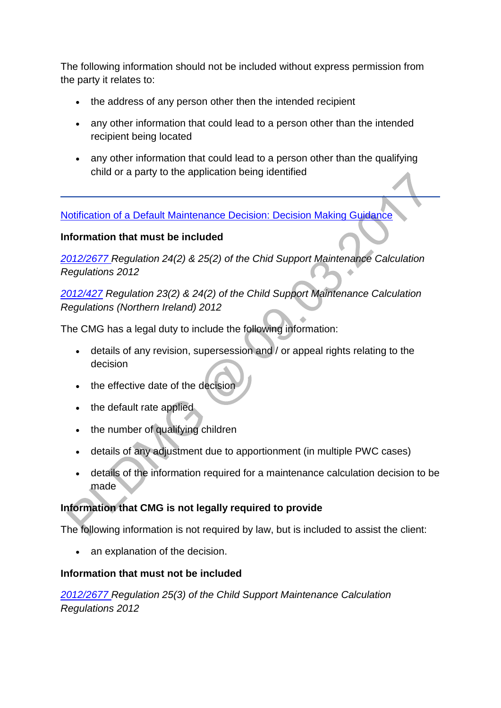The following information should not be included without express permission from the party it relates to:

- the address of any person other then the intended recipient
- any other information that could lead to a person other than the intended recipient being located
- any other information that could lead to a person other than the qualifying child or a party to the application being identified

[Notification of a Default Maintenance Decision: Decision Making Guidance](http://np-cmg-sharepoint.link2.gpn.gov.uk/sites/policy-law-and-decision-making-guidance/Pages/Notifications/Notifications.aspx)

### **Information that must be included**

*[2012/2677 R](http://www.legislation.gov.uk/uksi/2012/2677)egulation 24(2) & 25(2) of the Chid Support Maintenance Calculation Regulations 2012*

*[2012/427](http://www.legislation.gov.uk/nisr/2012/427/contents/made) Regulation 23(2) & 24(2) of the Child Support Maintenance Calculation Regulations (Northern Ireland) 2012*

The CMG has a legal duty to include the following information:

- details of any revision, supersession and / or appeal rights relating to the decision
- the effective date of the decision
- the default rate applied
- the number of qualifying children
- details of any adjustment due to apportionment (in multiple PWC cases)
- details of the information required for a maintenance calculation decision to be made

# **Information that CMG is not legally required to provide**

The following information is not required by law, but is included to assist the client:

an explanation of the decision.

#### **Information that must not be included**

*[2012/2677 R](http://www.legislation.gov.uk/uksi/2012/2677)egulation 25(3) of the Child Support Maintenance Calculation Regulations 2012*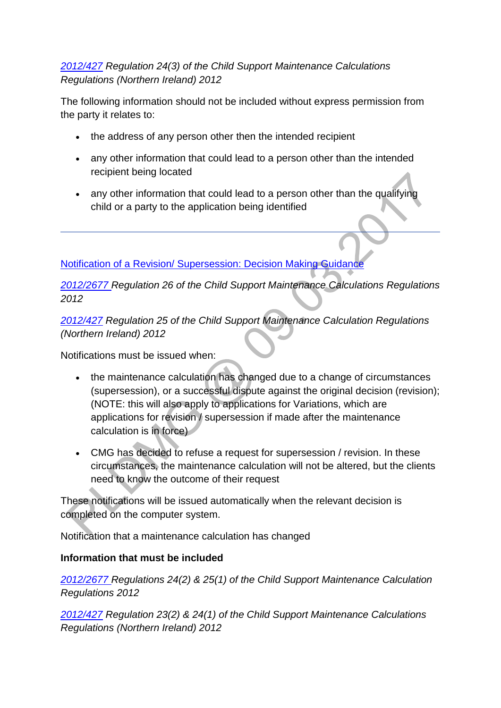### *[2012/427](http://www.legislation.gov.uk/nisr/2012/427/contents/made) Regulation 24(3) of the Child Support Maintenance Calculations Regulations (Northern Ireland) 2012*

The following information should not be included without express permission from the party it relates to:

- the address of any person other then the intended recipient
- any other information that could lead to a person other than the intended recipient being located
- any other information that could lead to a person other than the qualifying child or a party to the application being identified

[Notification of a Revision/ Supersession: Decision Making Guidance](http://np-cmg-sharepoint.link2.gpn.gov.uk/sites/policy-law-and-decision-making-guidance/Pages/Notifications/Notifications.aspx) 

*[2012/2677 R](http://www.legislation.gov.uk/uksi/2012/2677)egulation 26 of the Child Support Maintenance Calculations Regulations 2012*

*[2012/427](http://www.legislation.gov.uk/nisr/2012/427/contents/made) Regulation 25 of the Child Support Maintenance Calculation Regulations (Northern Ireland) 2012*

Notifications must be issued when:

- the maintenance calculation has changed due to a change of circumstances (supersession), or a successful dispute against the original decision (revision); (NOTE: this will also apply to applications for Variations, which are applications for revision / supersession if made after the maintenance calculation is in force)
- CMG has decided to refuse a request for supersession / revision. In these circumstances, the maintenance calculation will not be altered, but the clients need to know the outcome of their request

These notifications will be issued automatically when the relevant decision is completed on the computer system.

Notification that a maintenance calculation has changed

#### **Information that must be included**

*[2012/2677 R](http://www.legislation.gov.uk/uksi/2012/2677)egulations 24(2) & 25(1) of the Child Support Maintenance Calculation Regulations 2012*

*[2012/427](http://www.legislation.gov.uk/nisr/2012/427/contents/made) Regulation 23(2) & 24(1) of the Child Support Maintenance Calculations Regulations (Northern Ireland) 2012*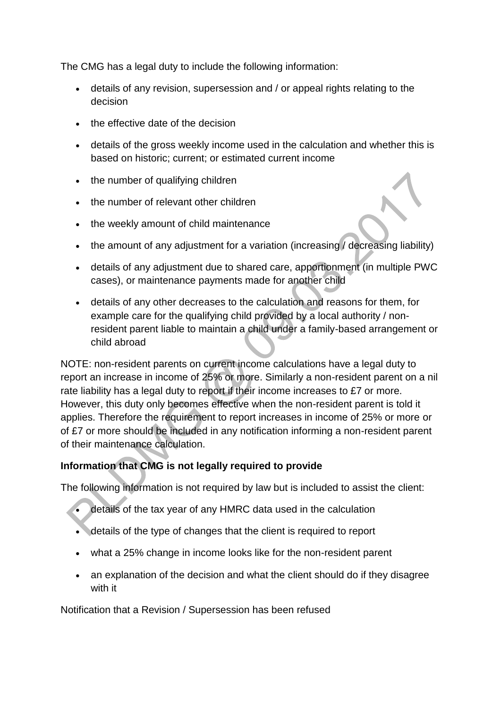The CMG has a legal duty to include the following information:

- details of any revision, supersession and / or appeal rights relating to the decision
- the effective date of the decision
- details of the gross weekly income used in the calculation and whether this is based on historic; current; or estimated current income
- the number of qualifying children
- the number of relevant other children
- the weekly amount of child maintenance
- the amount of any adjustment for a variation (increasing / decreasing liability)
- details of any adjustment due to shared care, apportionment (in multiple PWC cases), or maintenance payments made for another child
- details of any other decreases to the calculation and reasons for them, for example care for the qualifying child provided by a local authority / nonresident parent liable to maintain a child under a family-based arrangement or child abroad

NOTE: non-resident parents on current income calculations have a legal duty to report an increase in income of 25% or more. Similarly a non-resident parent on a nil rate liability has a legal duty to report if their income increases to £7 or more. However, this duty only becomes effective when the non-resident parent is told it applies. Therefore the requirement to report increases in income of 25% or more or of £7 or more should be included in any notification informing a non-resident parent of their maintenance calculation.

# **Information that CMG is not legally required to provide**

The following information is not required by law but is included to assist the client:

- details of the tax year of any HMRC data used in the calculation
- details of the type of changes that the client is required to report
- what a 25% change in income looks like for the non-resident parent
- an explanation of the decision and what the client should do if they disagree with it

Notification that a Revision / Supersession has been refused